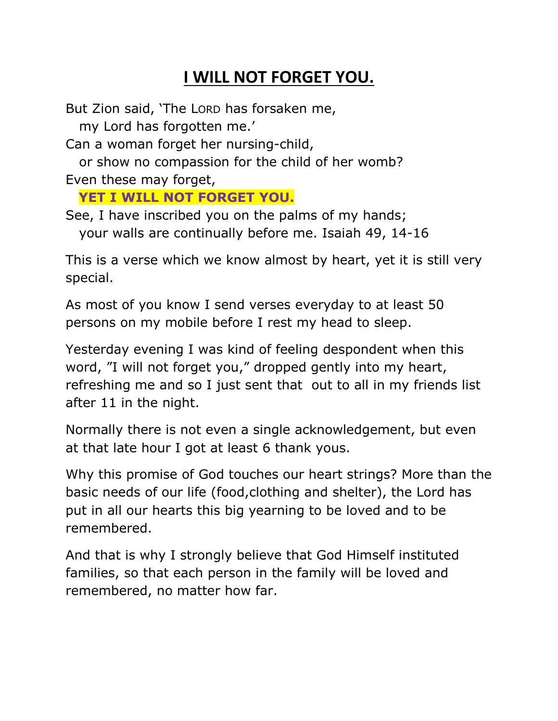## **I WILL NOT FORGET YOU.**

But Zion said, "The LORD has forsaken me,

my Lord has forgotten me."

Can a woman forget her nursing-child,

 or show no compassion for the child of her womb? Even these may forget,

## **YET I WILL NOT FORGET YOU.**

See, I have inscribed you on the palms of my hands; your walls are continually before me. Isaiah 49, 14-16

This is a verse which we know almost by heart, yet it is still very special.

As most of you know I send verses everyday to at least 50 persons on my mobile before I rest my head to sleep.

Yesterday evening I was kind of feeling despondent when this word, "I will not forget you," dropped gently into my heart, refreshing me and so I just sent that out to all in my friends list after 11 in the night.

Normally there is not even a single acknowledgement, but even at that late hour I got at least 6 thank yous.

Why this promise of God touches our heart strings? More than the basic needs of our life (food,clothing and shelter), the Lord has put in all our hearts this big yearning to be loved and to be remembered.

And that is why I strongly believe that God Himself instituted families, so that each person in the family will be loved and remembered, no matter how far.